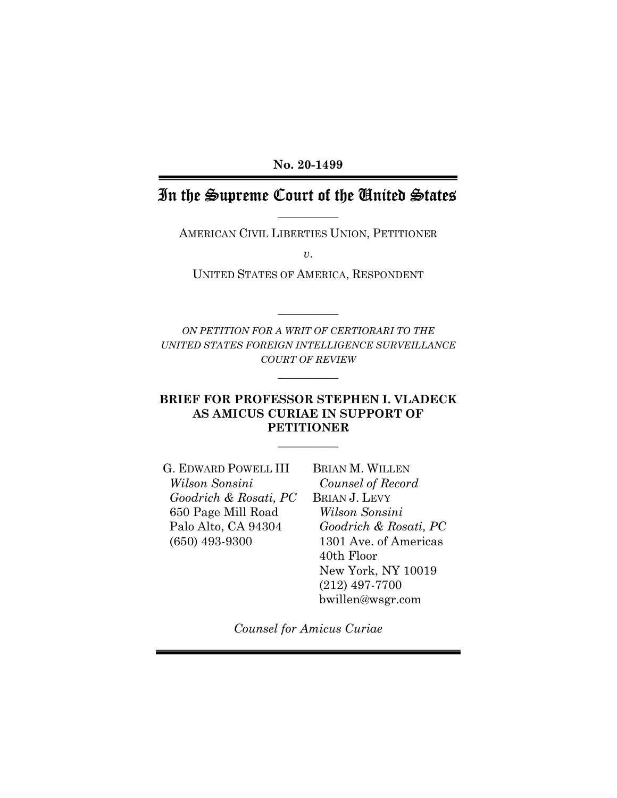No. 20-1499

## In the Supreme Court of the United States  $\overline{\phantom{a}}$  , where  $\overline{\phantom{a}}$

AMERICAN CIVIL LIBERTIES UNION, PETITIONER

 $\upsilon$ .

UNITED STATES OF AMERICA, RESPONDENT

ON PETITION FOR A WRIT OF CERTIORARI TO THE UNITED STATES FOREIGN INTELLIGENCE SURVEILLANCE COURT OF REVIEW

 $\overline{\phantom{a}}$ 

 $\overline{\phantom{a}}$ 

### BRIEF FOR PROFESSOR STEPHEN I. VLADECK AS AMICUS CURIAE IN SUPPORT OF PETITIONER

 $\overline{\phantom{a}}$ 

G. EDWARD POWELL III Wilson Sonsini Goodrich & Rosati, PC 650 Page Mill Road Palo Alto, CA 94304 (650) 493-9300

BRIAN M. WILLEN Counsel of Record BRIAN J. LEVY Wilson Sonsini Goodrich & Rosati, PC 1301 Ave. of Americas 40th Floor New York, NY 10019 (212) 497-7700 bwillen@wsgr.com

Counsel for Amicus Curiae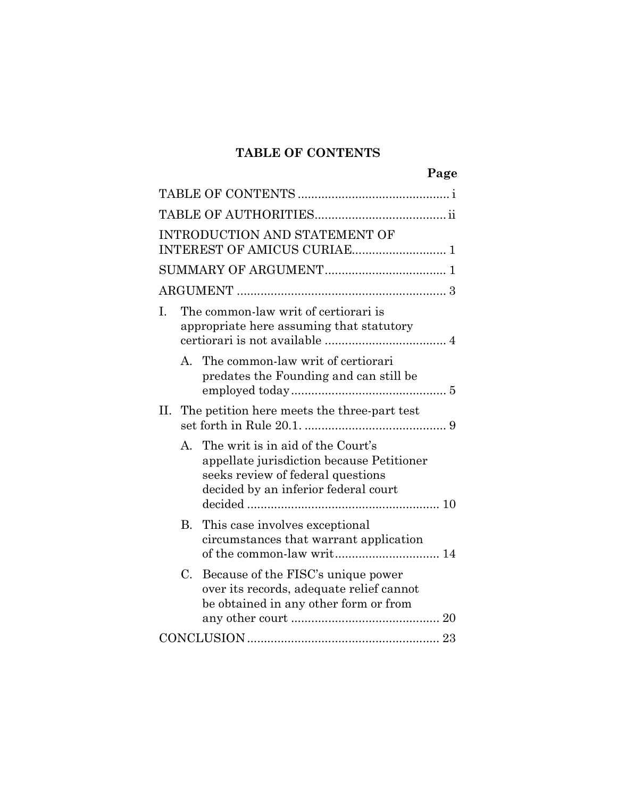## TABLE OF CONTENTS

|                                                              |                                                                                  | Page                                                                                                                                                        |  |  |
|--------------------------------------------------------------|----------------------------------------------------------------------------------|-------------------------------------------------------------------------------------------------------------------------------------------------------------|--|--|
|                                                              |                                                                                  |                                                                                                                                                             |  |  |
|                                                              |                                                                                  |                                                                                                                                                             |  |  |
| INTRODUCTION AND STATEMENT OF<br>INTEREST OF AMICUS CURIAE 1 |                                                                                  |                                                                                                                                                             |  |  |
|                                                              |                                                                                  |                                                                                                                                                             |  |  |
|                                                              |                                                                                  |                                                                                                                                                             |  |  |
| L.                                                           | The common-law writ of certiorari is<br>appropriate here assuming that statutory |                                                                                                                                                             |  |  |
|                                                              |                                                                                  | A. The common-law writ of certiorari<br>predates the Founding and can still be                                                                              |  |  |
| П.                                                           |                                                                                  | The petition here meets the three-part test                                                                                                                 |  |  |
|                                                              | A.                                                                               | The writ is in aid of the Court's<br>appellate jurisdiction because Petitioner<br>seeks review of federal questions<br>decided by an inferior federal court |  |  |
|                                                              | B.                                                                               | This case involves exceptional<br>circumstances that warrant application                                                                                    |  |  |
|                                                              | $C_{\cdot}$                                                                      | Because of the FISC's unique power<br>over its records, adequate relief cannot<br>be obtained in any other form or from                                     |  |  |
|                                                              |                                                                                  |                                                                                                                                                             |  |  |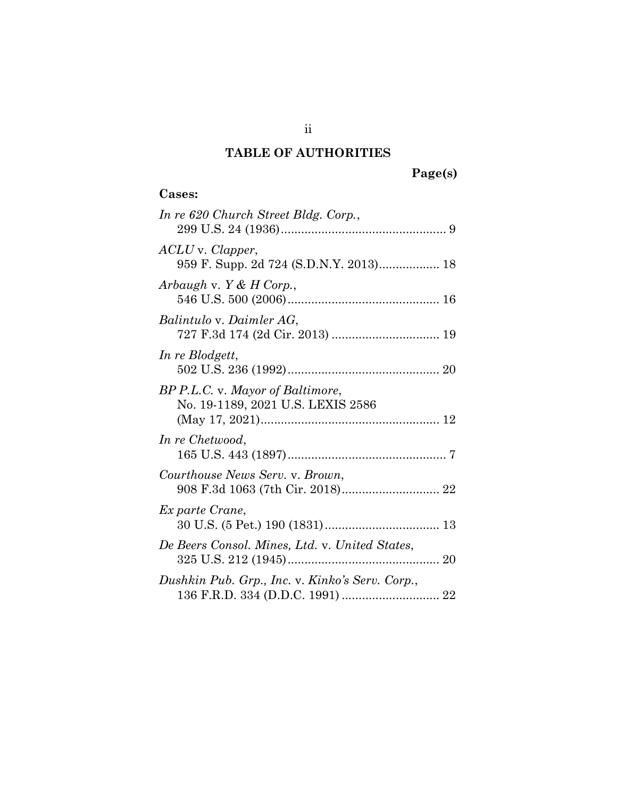## TABLE OF AUTHORITIES

# Page(s)

## Cases:

| In re 620 Church Street Bldg. Corp.,                                  |
|-----------------------------------------------------------------------|
| ACLU v. Clapper,<br>959 F. Supp. 2d 724 (S.D.N.Y. 2013) 18            |
| Arbaugh v. $Y & H$ Corp.,                                             |
| Balintulo v. Daimler AG,                                              |
| In re Blodgett,                                                       |
| BP P.L.C. v. Mayor of Baltimore,<br>No. 19-1189, 2021 U.S. LEXIS 2586 |
| In re Chetwood,                                                       |
| Courthouse News Serv. v. Brown,                                       |
| Ex parte Crane,                                                       |
| De Beers Consol. Mines, Ltd. v. United States,                        |
| Dushkin Pub. Grp., Inc. v. Kinko's Serv. Corp.,                       |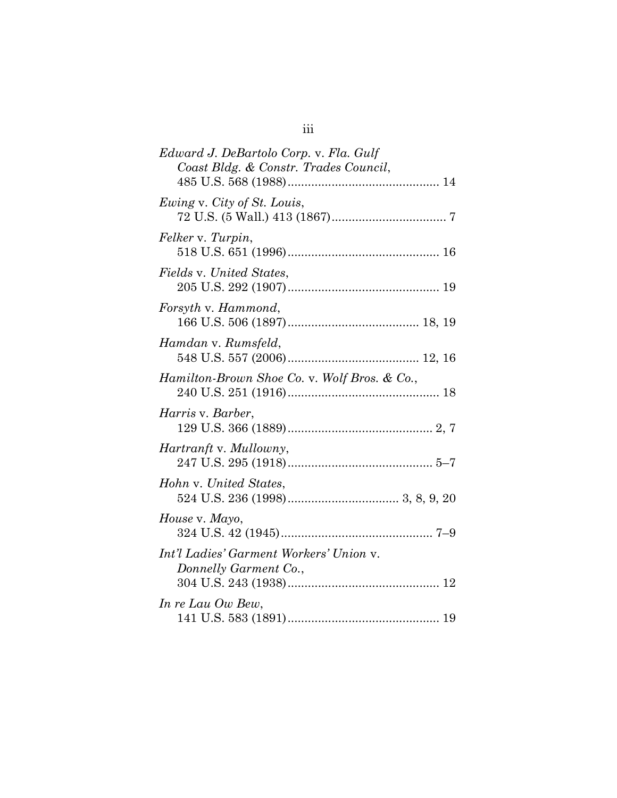| Edward J. DeBartolo Corp. v. Fla. Gulf<br>Coast Bldg. & Constr. Trades Council, |  |  |
|---------------------------------------------------------------------------------|--|--|
|                                                                                 |  |  |
| Ewing v. City of St. Louis,                                                     |  |  |
| Felker v. Turpin,                                                               |  |  |
| Fields v. United States,                                                        |  |  |
| Forsyth v. Hammond,                                                             |  |  |
| Hamdan v. Rumsfeld,                                                             |  |  |
| Hamilton-Brown Shoe Co. v. Wolf Bros. & Co.,                                    |  |  |
| <i>Harris</i> v. <i>Barber</i> ,                                                |  |  |
| <i>Hartranft</i> v. <i>Mullowny</i> ,                                           |  |  |
| Hohn v. United States,                                                          |  |  |
| House v. Mayo,                                                                  |  |  |
| Int'l Ladies' Garment Workers' Union v.<br>Donnelly Garment Co.,                |  |  |
| In re Lau Ow Bew,                                                               |  |  |
|                                                                                 |  |  |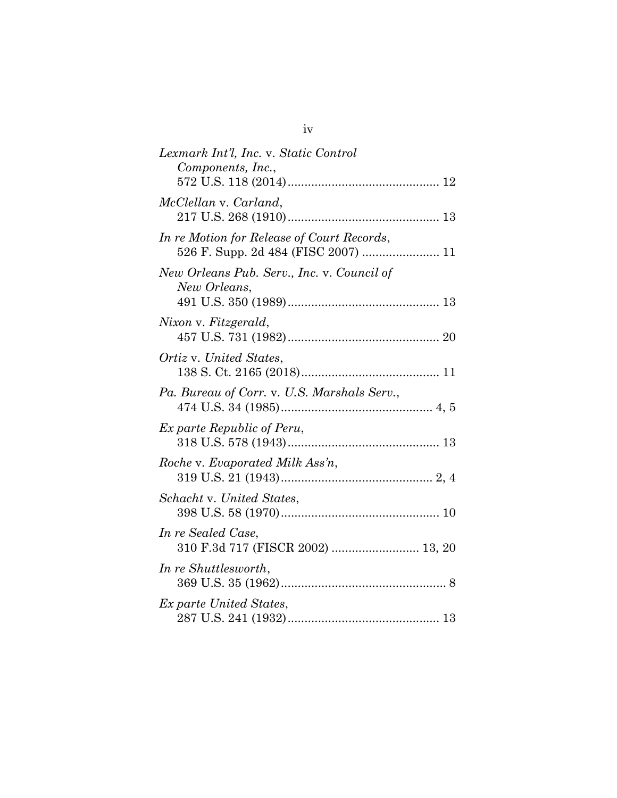| Lexmark Int'l, Inc. v. Static Control<br>Components, Inc.,                        |
|-----------------------------------------------------------------------------------|
|                                                                                   |
| McClellan v. Carland,                                                             |
| In re Motion for Release of Court Records,<br>526 F. Supp. 2d 484 (FISC 2007)  11 |
| New Orleans Pub. Serv., Inc. v. Council of<br>New Orleans,                        |
| Nixon v. Fitzgerald,                                                              |
| Ortiz v. United States,                                                           |
| Pa. Bureau of Corr. v. U.S. Marshals Serv.,                                       |
| <i>Ex parte Republic of Peru,</i>                                                 |
| Roche v. Evaporated Milk Ass'n,                                                   |
| Schacht v. United States,                                                         |
| In re Sealed Case,<br>310 F.3d 717 (FISCR 2002)  13, 20                           |
| In re Shuttlesworth,                                                              |
| Ex parte United States,                                                           |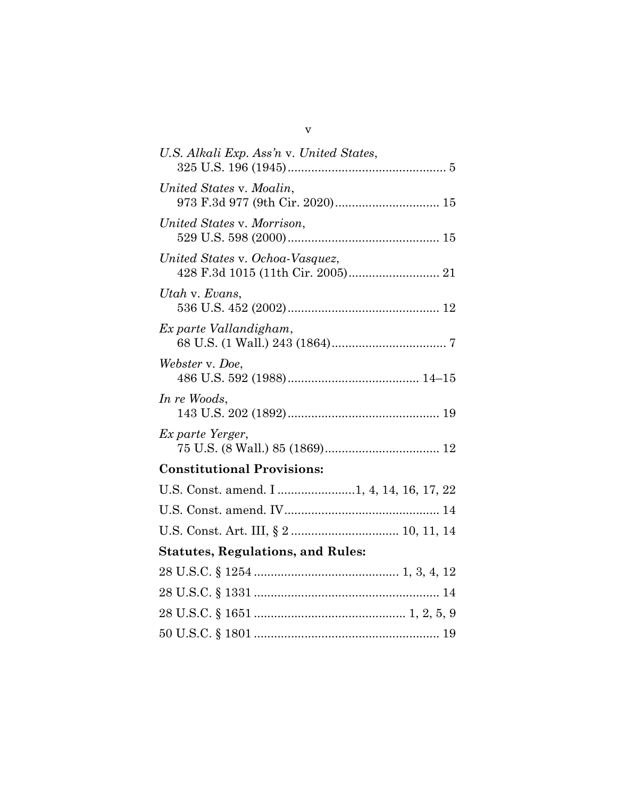| U.S. Alkali Exp. Ass'n v. United States,  |  |  |
|-------------------------------------------|--|--|
| United States v. Moalin,                  |  |  |
| United States v. Morrison,                |  |  |
| United States v. Ochoa-Vasquez,           |  |  |
| Utah v. Evans,                            |  |  |
| Ex parte Vallandigham,                    |  |  |
| Webster v. Doe,                           |  |  |
| In re Woods,                              |  |  |
| Ex parte Yerger,                          |  |  |
| <b>Constitutional Provisions:</b>         |  |  |
| U.S. Const. amend. I 1, 4, 14, 16, 17, 22 |  |  |
|                                           |  |  |
|                                           |  |  |
| <b>Statutes, Regulations, and Rules:</b>  |  |  |
|                                           |  |  |
|                                           |  |  |
|                                           |  |  |
|                                           |  |  |

v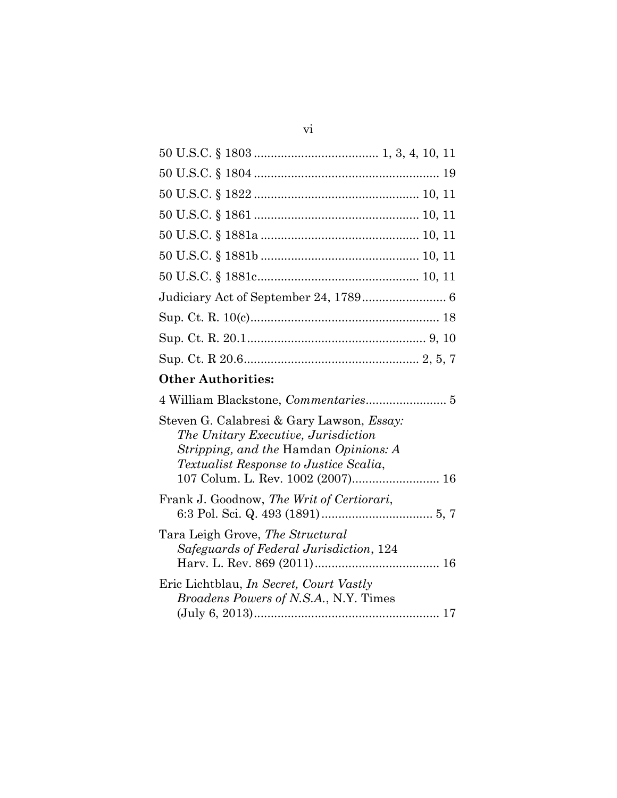# Other Authorities:

| Steven G. Calabresi & Gary Lawson, <i>Essay</i> :<br>The Unitary Executive, Jurisdiction<br><i>Stripping, and the Hamdan Opinions: A</i><br><i>Textualist Response to Justice Scalia,</i><br>107 Colum. L. Rev. 1002 (2007) 16 |  |  |
|--------------------------------------------------------------------------------------------------------------------------------------------------------------------------------------------------------------------------------|--|--|
| Frank J. Goodnow, The Writ of Certiorari,                                                                                                                                                                                      |  |  |
| Tara Leigh Grove, The Structural<br>Safeguards of Federal Jurisdiction, 124                                                                                                                                                    |  |  |
| Eric Lichtblau, <i>In Secret, Court Vastly</i><br><i>Broadens Powers of N.S.A., N.Y. Times</i>                                                                                                                                 |  |  |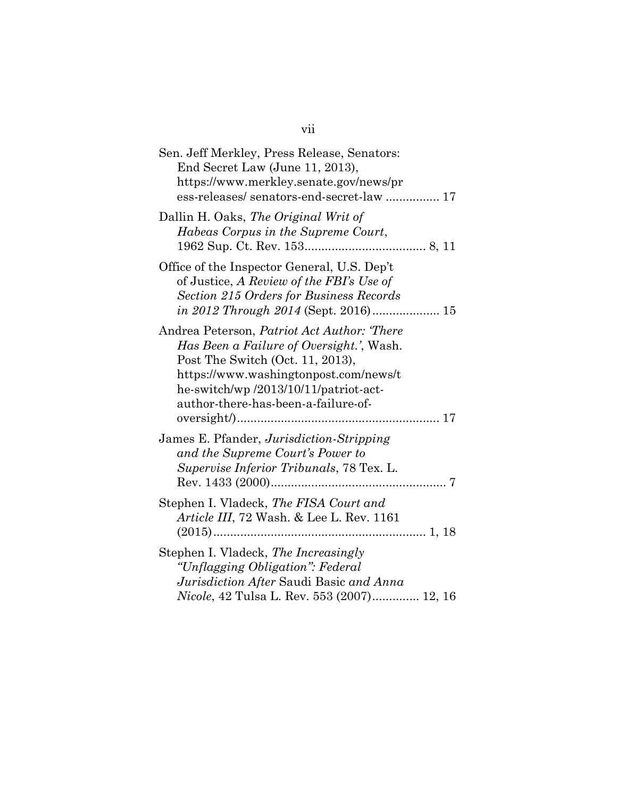| Sen. Jeff Merkley, Press Release, Senators:<br>End Secret Law (June 11, 2013),<br>https://www.merkley.senate.gov/news/pr<br>ess-releases/senators-end-secret-law  17                                                                                       |
|------------------------------------------------------------------------------------------------------------------------------------------------------------------------------------------------------------------------------------------------------------|
| Dallin H. Oaks, The Original Writ of<br>Habeas Corpus in the Supreme Court,                                                                                                                                                                                |
| Office of the Inspector General, U.S. Dep't<br>of Justice, A Review of the FBI's Use of<br>Section 215 Orders for Business Records                                                                                                                         |
| Andrea Peterson, <i>Patriot Act Author: 'There</i><br>Has Been a Failure of Oversight.', Wash.<br>Post The Switch (Oct. 11, 2013),<br>https://www.washingtonpost.com/news/t<br>he-switch/wp/2013/10/11/patriot-act-<br>author-there-has-been-a-failure-of- |
| James E. Pfander, Jurisdiction-Stripping<br>and the Supreme Court's Power to<br>Supervise Inferior Tribunals, 78 Tex. L.                                                                                                                                   |
| Stephen I. Vladeck, The FISA Court and<br>Article III, 72 Wash. & Lee L. Rev. 1161                                                                                                                                                                         |
| Stephen I. Vladeck, The Increasingly<br>"Unflagging Obligation": Federal<br>Jurisdiction After Saudi Basic and Anna<br>Nicole, 42 Tulsa L. Rev. 553 (2007) 12, 16                                                                                          |

vii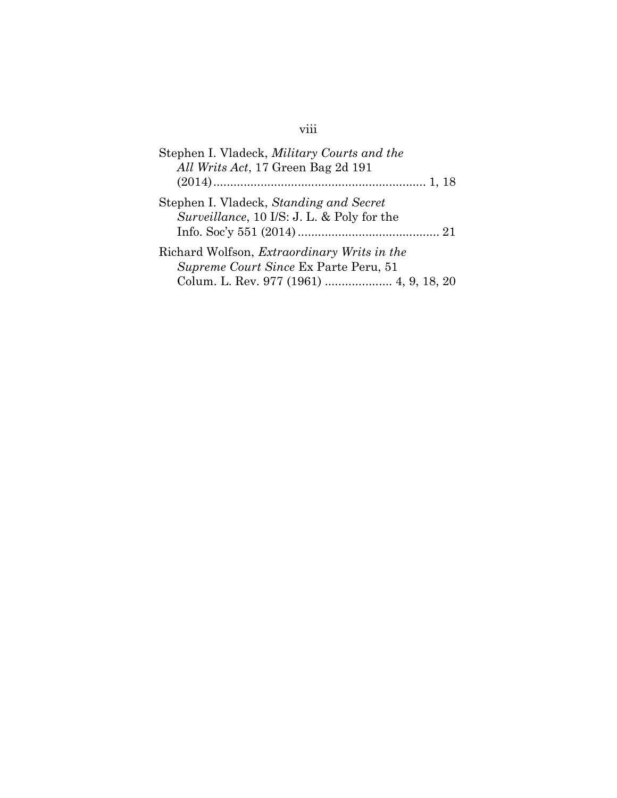# viii

| Stephen I. Vladeck, Military Courts and the        |  |  |
|----------------------------------------------------|--|--|
| All Writs Act, 17 Green Bag 2d 191                 |  |  |
|                                                    |  |  |
| Stephen I. Vladeck, Standing and Secret            |  |  |
| Surveillance, 10 I/S: J. L. & Poly for the         |  |  |
|                                                    |  |  |
| Richard Wolfson, <i>Extraordinary Writs in the</i> |  |  |
| Supreme Court Since Ex Parte Peru, 51              |  |  |
| Colum. L. Rev. 977 (1961)  4, 9, 18, 20            |  |  |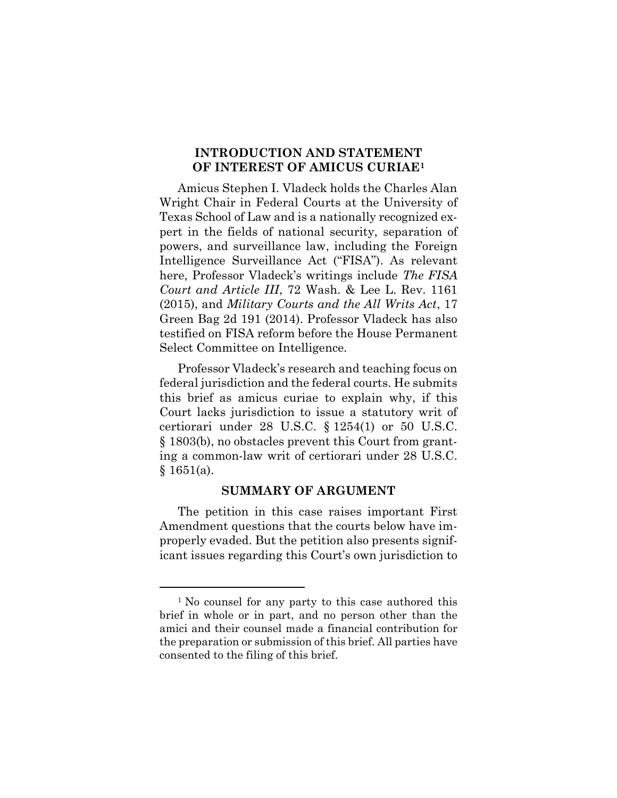### INTRODUCTION AND STATEMENT OF INTEREST OF AMICUS CURIAE<sup>1</sup>

Amicus Stephen I. Vladeck holds the Charles Alan Wright Chair in Federal Courts at the University of Texas School of Law and is a nationally recognized expert in the fields of national security, separation of powers, and surveillance law, including the Foreign Intelligence Surveillance Act ("FISA"). As relevant here, Professor Vladeck's writings include The FISA Court and Article III, 72 Wash. & Lee L. Rev. 1161 (2015), and Military Courts and the All Writs Act, 17 Green Bag 2d 191 (2014). Professor Vladeck has also testified on FISA reform before the House Permanent Select Committee on Intelligence.

Professor Vladeck's research and teaching focus on federal jurisdiction and the federal courts. He submits this brief as amicus curiae to explain why, if this Court lacks jurisdiction to issue a statutory writ of certiorari under 28 U.S.C. § 1254(1) or 50 U.S.C. § 1803(b), no obstacles prevent this Court from granting a common-law writ of certiorari under 28 U.S.C.  $§ 1651(a).$ 

#### SUMMARY OF ARGUMENT

The petition in this case raises important First Amendment questions that the courts below have improperly evaded. But the petition also presents significant issues regarding this Court's own jurisdiction to

<sup>&</sup>lt;sup>1</sup> No counsel for any party to this case authored this brief in whole or in part, and no person other than the amici and their counsel made a financial contribution for the preparation or submission of this brief. All parties have consented to the filing of this brief.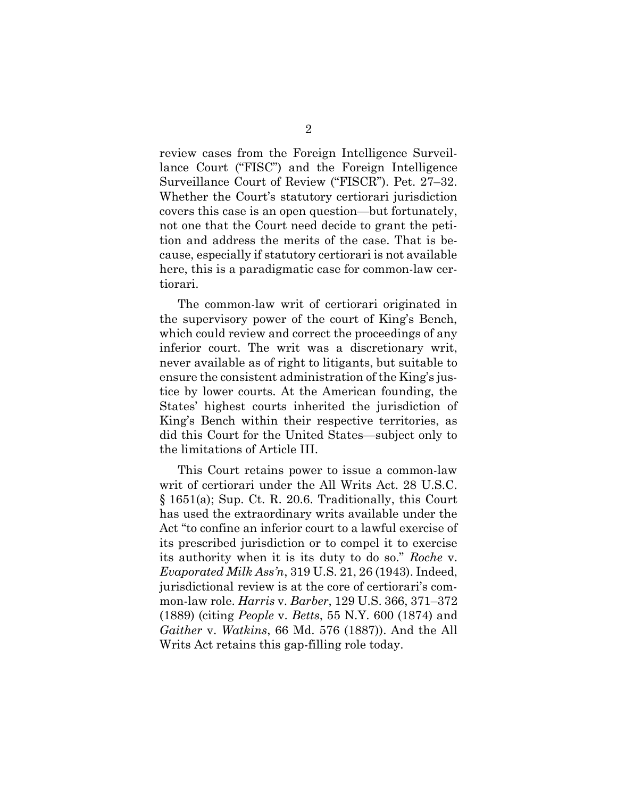review cases from the Foreign Intelligence Surveillance Court ("FISC") and the Foreign Intelligence Surveillance Court of Review ("FISCR"). Pet. 27–32. Whether the Court's statutory certiorari jurisdiction covers this case is an open question—but fortunately, not one that the Court need decide to grant the petition and address the merits of the case. That is because, especially if statutory certiorari is not available here, this is a paradigmatic case for common-law certiorari.

The common-law writ of certiorari originated in the supervisory power of the court of King's Bench, which could review and correct the proceedings of any inferior court. The writ was a discretionary writ, never available as of right to litigants, but suitable to ensure the consistent administration of the King's justice by lower courts. At the American founding, the States' highest courts inherited the jurisdiction of King's Bench within their respective territories, as did this Court for the United States—subject only to the limitations of Article III.

This Court retains power to issue a common-law writ of certiorari under the All Writs Act. 28 U.S.C. § 1651(a); Sup. Ct. R. 20.6. Traditionally, this Court has used the extraordinary writs available under the Act "to confine an inferior court to a lawful exercise of its prescribed jurisdiction or to compel it to exercise its authority when it is its duty to do so." Roche v. Evaporated Milk Ass'n, 319 U.S. 21, 26 (1943). Indeed, jurisdictional review is at the core of certiorari's common-law role. Harris v. Barber, 129 U.S. 366, 371–372 (1889) (citing People v. Betts, 55 N.Y. 600 (1874) and Gaither v. Watkins, 66 Md. 576 (1887)). And the All Writs Act retains this gap-filling role today.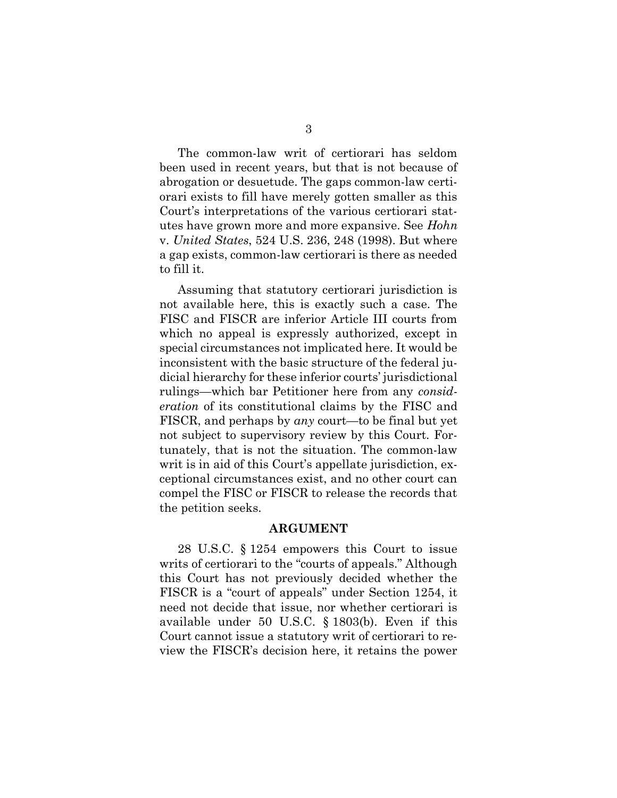The common-law writ of certiorari has seldom been used in recent years, but that is not because of abrogation or desuetude. The gaps common-law certiorari exists to fill have merely gotten smaller as this Court's interpretations of the various certiorari statutes have grown more and more expansive. See Hohn v. United States, 524 U.S. 236, 248 (1998). But where a gap exists, common-law certiorari is there as needed to fill it.

Assuming that statutory certiorari jurisdiction is not available here, this is exactly such a case. The FISC and FISCR are inferior Article III courts from which no appeal is expressly authorized, except in special circumstances not implicated here. It would be inconsistent with the basic structure of the federal judicial hierarchy for these inferior courts' jurisdictional rulings—which bar Petitioner here from any consideration of its constitutional claims by the FISC and FISCR, and perhaps by any court—to be final but yet not subject to supervisory review by this Court. Fortunately, that is not the situation. The common-law writ is in aid of this Court's appellate jurisdiction, exceptional circumstances exist, and no other court can compel the FISC or FISCR to release the records that the petition seeks.

#### ARGUMENT

28 U.S.C. § 1254 empowers this Court to issue writs of certiorari to the "courts of appeals." Although this Court has not previously decided whether the FISCR is a "court of appeals" under Section 1254, it need not decide that issue, nor whether certiorari is available under 50 U.S.C. § 1803(b). Even if this Court cannot issue a statutory writ of certiorari to review the FISCR's decision here, it retains the power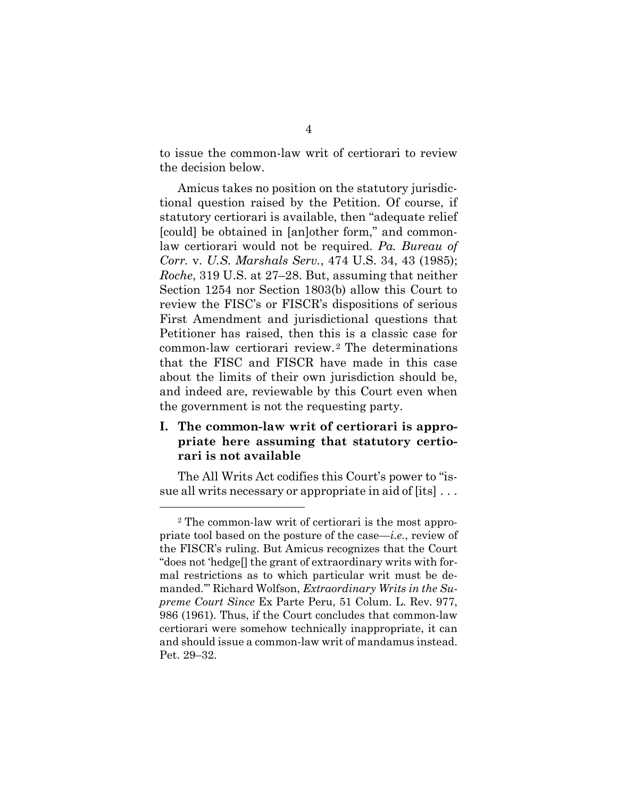to issue the common-law writ of certiorari to review the decision below.

Amicus takes no position on the statutory jurisdictional question raised by the Petition. Of course, if statutory certiorari is available, then "adequate relief [could] be obtained in [an]other form," and commonlaw certiorari would not be required. Pa. Bureau of Corr. v. U.S. Marshals Serv., 474 U.S. 34, 43 (1985); Roche, 319 U.S. at 27–28. But, assuming that neither Section 1254 nor Section 1803(b) allow this Court to review the FISC's or FISCR's dispositions of serious First Amendment and jurisdictional questions that Petitioner has raised, then this is a classic case for common-law certiorari review. <sup>2</sup> The determinations that the FISC and FISCR have made in this case about the limits of their own jurisdiction should be, and indeed are, reviewable by this Court even when the government is not the requesting party.

## I. The common-law writ of certiorari is appropriate here assuming that statutory certiorari is not available

The All Writs Act codifies this Court's power to "issue all writs necessary or appropriate in aid of [its] . . .

<sup>2</sup> The common-law writ of certiorari is the most appropriate tool based on the posture of the case—i.e., review of the FISCR's ruling. But Amicus recognizes that the Court "does not 'hedge[] the grant of extraordinary writs with formal restrictions as to which particular writ must be demanded.'" Richard Wolfson, Extraordinary Writs in the Supreme Court Since Ex Parte Peru, 51 Colum. L. Rev. 977, 986 (1961). Thus, if the Court concludes that common-law certiorari were somehow technically inappropriate, it can and should issue a common-law writ of mandamus instead. Pet. 29–32.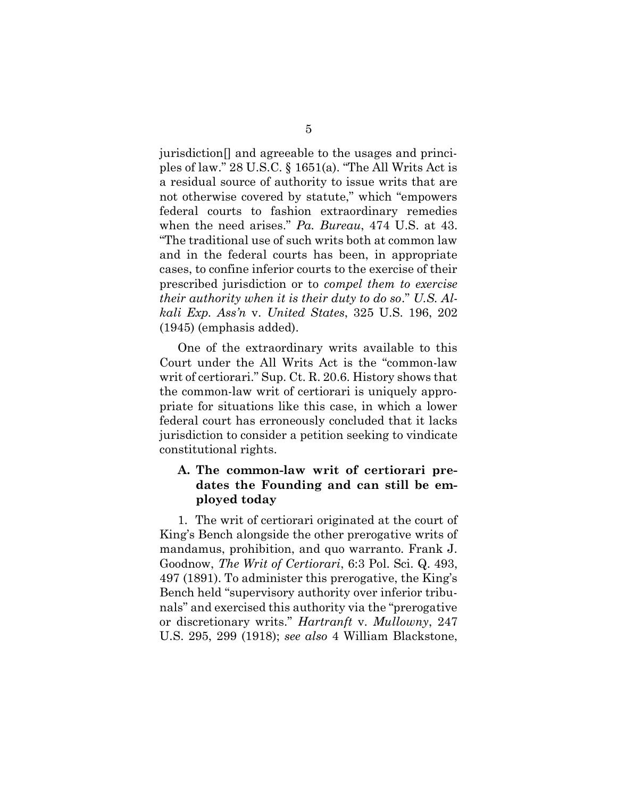jurisdiction[] and agreeable to the usages and principles of law." 28 U.S.C. § 1651(a). "The All Writs Act is a residual source of authority to issue writs that are not otherwise covered by statute," which "empowers federal courts to fashion extraordinary remedies when the need arises." Pa. Bureau, 474 U.S. at 43. "The traditional use of such writs both at common law and in the federal courts has been, in appropriate cases, to confine inferior courts to the exercise of their prescribed jurisdiction or to compel them to exercise their authority when it is their duty to do so." U.S. Alkali Exp. Ass'n v. United States, 325 U.S. 196, 202 (1945) (emphasis added).

One of the extraordinary writs available to this Court under the All Writs Act is the "common-law writ of certiorari." Sup. Ct. R. 20.6. History shows that the common-law writ of certiorari is uniquely appropriate for situations like this case, in which a lower federal court has erroneously concluded that it lacks jurisdiction to consider a petition seeking to vindicate constitutional rights.

### A. The common-law writ of certiorari predates the Founding and can still be employed today

1. The writ of certiorari originated at the court of King's Bench alongside the other prerogative writs of mandamus, prohibition, and quo warranto. Frank J. Goodnow, The Writ of Certiorari, 6:3 Pol. Sci. Q. 493, 497 (1891). To administer this prerogative, the King's Bench held "supervisory authority over inferior tribunals" and exercised this authority via the "prerogative or discretionary writs." Hartranft v. Mullowny, 247 U.S. 295, 299 (1918); see also 4 William Blackstone,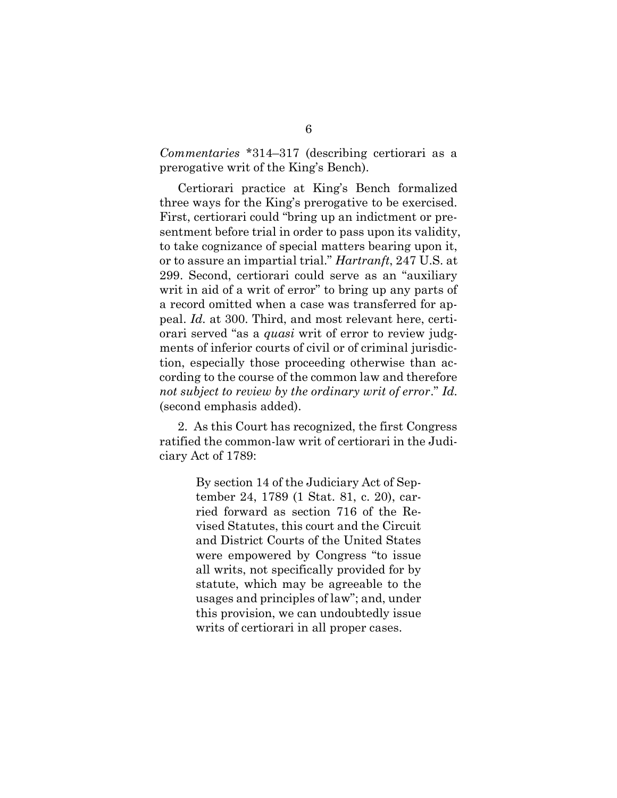Commentaries \*314–317 (describing certiorari as a prerogative writ of the King's Bench).

Certiorari practice at King's Bench formalized three ways for the King's prerogative to be exercised. First, certiorari could "bring up an indictment or presentment before trial in order to pass upon its validity, to take cognizance of special matters bearing upon it, or to assure an impartial trial." Hartranft, 247 U.S. at 299. Second, certiorari could serve as an "auxiliary writ in aid of a writ of error" to bring up any parts of a record omitted when a case was transferred for appeal. Id. at 300. Third, and most relevant here, certiorari served "as a quasi writ of error to review judgments of inferior courts of civil or of criminal jurisdiction, especially those proceeding otherwise than according to the course of the common law and therefore not subject to review by the ordinary writ of error." Id. (second emphasis added).

2. As this Court has recognized, the first Congress ratified the common-law writ of certiorari in the Judiciary Act of 1789:

> By section 14 of the Judiciary Act of September 24, 1789 (1 Stat. 81, c. 20), carried forward as section 716 of the Revised Statutes, this court and the Circuit and District Courts of the United States were empowered by Congress "to issue all writs, not specifically provided for by statute, which may be agreeable to the usages and principles of law"; and, under this provision, we can undoubtedly issue writs of certiorari in all proper cases.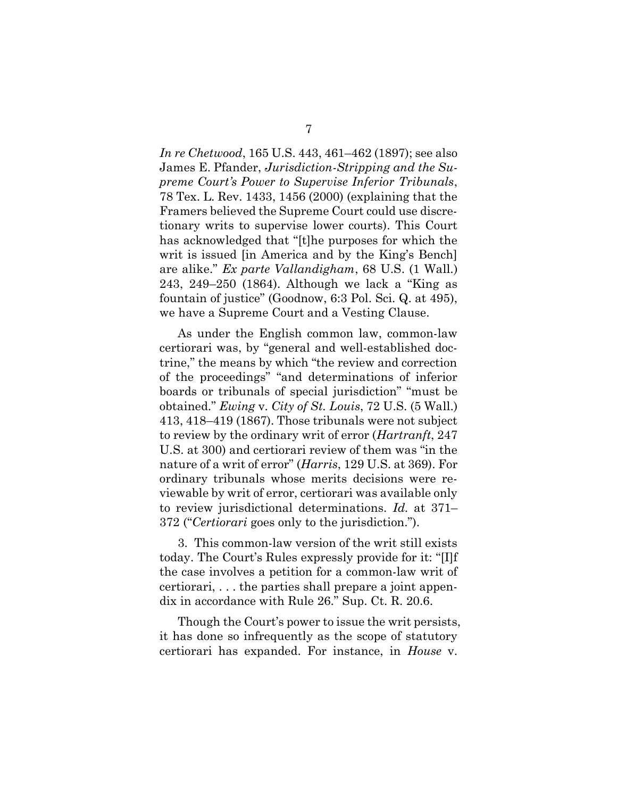In re Chetwood, 165 U.S. 443, 461–462 (1897); see also James E. Pfander, Jurisdiction-Stripping and the Supreme Court's Power to Supervise Inferior Tribunals, 78 Tex. L. Rev. 1433, 1456 (2000) (explaining that the Framers believed the Supreme Court could use discretionary writs to supervise lower courts). This Court has acknowledged that "[t]he purposes for which the writ is issued [in America and by the King's Bench] are alike." Ex parte Vallandigham, 68 U.S. (1 Wall.) 243, 249–250 (1864). Although we lack a "King as fountain of justice" (Goodnow, 6:3 Pol. Sci. Q. at 495), we have a Supreme Court and a Vesting Clause.

As under the English common law, common-law certiorari was, by "general and well-established doctrine," the means by which "the review and correction of the proceedings" "and determinations of inferior boards or tribunals of special jurisdiction" "must be obtained." Ewing v. City of St. Louis, 72 U.S. (5 Wall.) 413, 418–419 (1867). Those tribunals were not subject to review by the ordinary writ of error (Hartranft, 247 U.S. at 300) and certiorari review of them was "in the nature of a writ of error" (Harris, 129 U.S. at 369). For ordinary tribunals whose merits decisions were reviewable by writ of error, certiorari was available only to review jurisdictional determinations. Id. at 371– 372 ("Certiorari goes only to the jurisdiction.").

3. This common-law version of the writ still exists today. The Court's Rules expressly provide for it: "[I]f the case involves a petition for a common-law writ of certiorari, . . . the parties shall prepare a joint appendix in accordance with Rule 26." Sup. Ct. R. 20.6.

Though the Court's power to issue the writ persists, it has done so infrequently as the scope of statutory certiorari has expanded. For instance, in House v.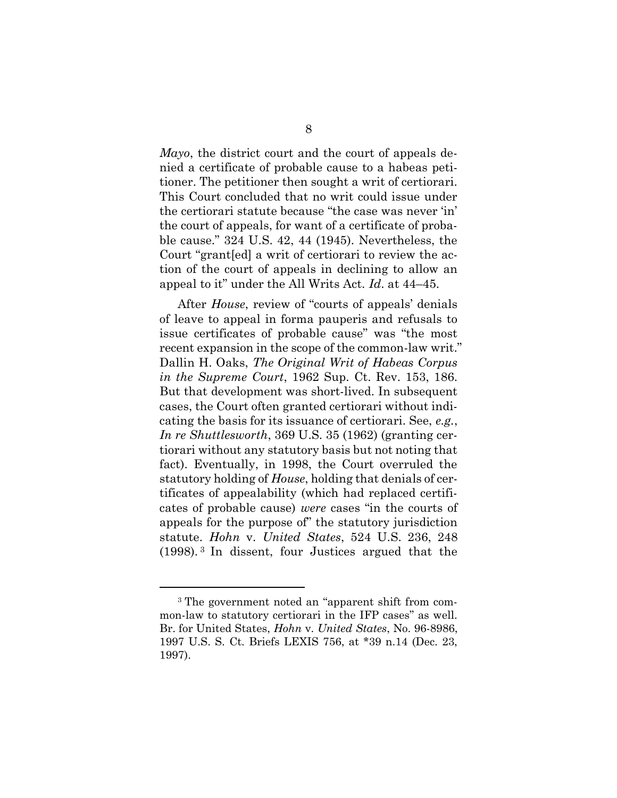Mayo, the district court and the court of appeals denied a certificate of probable cause to a habeas petitioner. The petitioner then sought a writ of certiorari. This Court concluded that no writ could issue under the certiorari statute because "the case was never 'in' the court of appeals, for want of a certificate of probable cause." 324 U.S. 42, 44 (1945). Nevertheless, the Court "grant[ed] a writ of certiorari to review the action of the court of appeals in declining to allow an appeal to it" under the All Writs Act. Id. at 44–45.

After House, review of "courts of appeals' denials of leave to appeal in forma pauperis and refusals to issue certificates of probable cause" was "the most recent expansion in the scope of the common-law writ." Dallin H. Oaks, The Original Writ of Habeas Corpus in the Supreme Court, 1962 Sup. Ct. Rev. 153, 186. But that development was short-lived. In subsequent cases, the Court often granted certiorari without indicating the basis for its issuance of certiorari. See, e.g., In re Shuttlesworth, 369 U.S. 35 (1962) (granting certiorari without any statutory basis but not noting that fact). Eventually, in 1998, the Court overruled the statutory holding of House, holding that denials of certificates of appealability (which had replaced certificates of probable cause) were cases "in the courts of appeals for the purpose of" the statutory jurisdiction statute. Hohn v. United States, 524 U.S. 236, 248 (1998). <sup>3</sup> In dissent, four Justices argued that the

<sup>3</sup> The government noted an "apparent shift from common-law to statutory certiorari in the IFP cases" as well. Br. for United States, Hohn v. United States, No. 96-8986, 1997 U.S. S. Ct. Briefs LEXIS 756, at \*39 n.14 (Dec. 23, 1997).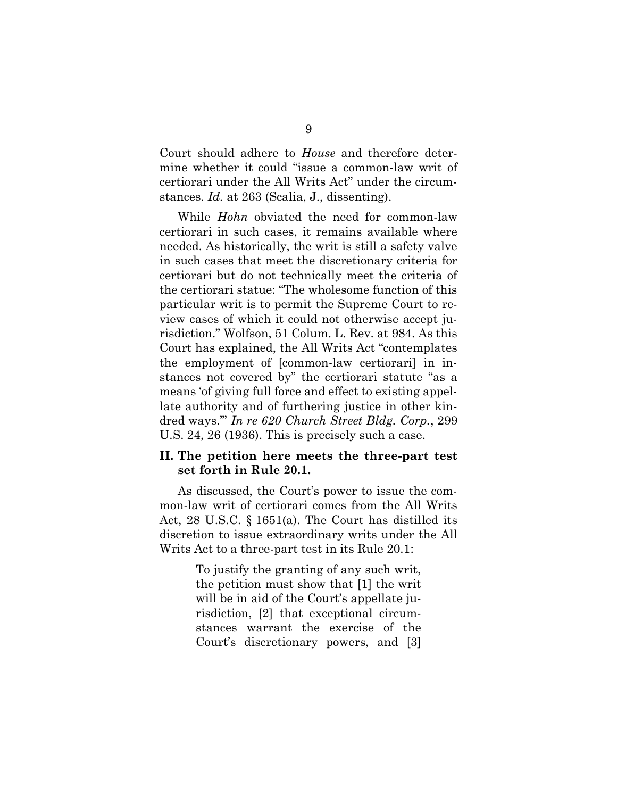Court should adhere to House and therefore determine whether it could "issue a common-law writ of certiorari under the All Writs Act" under the circumstances. Id. at 263 (Scalia, J., dissenting).

While *Hohn* obviated the need for common-law certiorari in such cases, it remains available where needed. As historically, the writ is still a safety valve in such cases that meet the discretionary criteria for certiorari but do not technically meet the criteria of the certiorari statue: "The wholesome function of this particular writ is to permit the Supreme Court to review cases of which it could not otherwise accept jurisdiction." Wolfson, 51 Colum. L. Rev. at 984. As this Court has explained, the All Writs Act "contemplates the employment of [common-law certiorari] in instances not covered by" the certiorari statute "as a means 'of giving full force and effect to existing appellate authority and of furthering justice in other kindred ways.'" In re 620 Church Street Bldg. Corp., 299 U.S. 24, 26 (1936). This is precisely such a case.

### II. The petition here meets the three-part test set forth in Rule 20.1.

As discussed, the Court's power to issue the common-law writ of certiorari comes from the All Writs Act, 28 U.S.C. § 1651(a). The Court has distilled its discretion to issue extraordinary writs under the All Writs Act to a three-part test in its Rule 20.1:

> To justify the granting of any such writ, the petition must show that [1] the writ will be in aid of the Court's appellate jurisdiction, [2] that exceptional circumstances warrant the exercise of the Court's discretionary powers, and [3]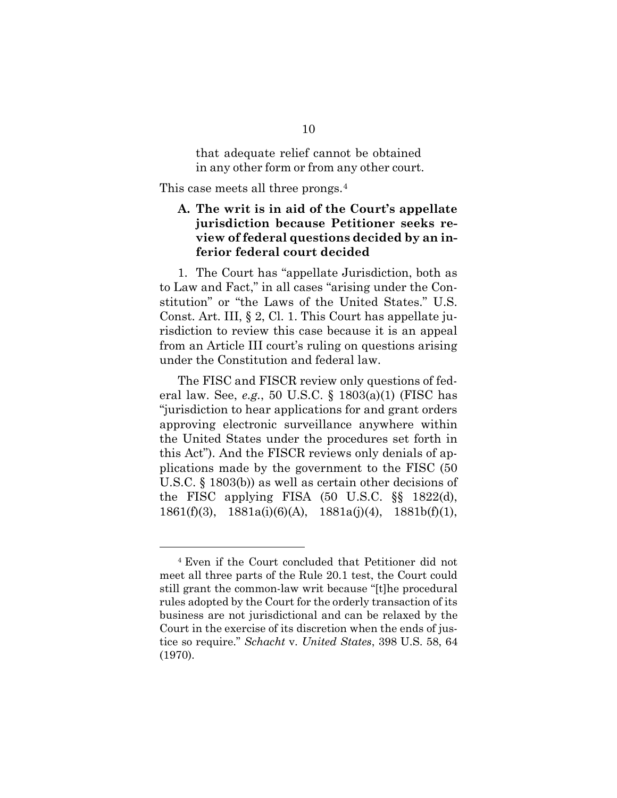that adequate relief cannot be obtained in any other form or from any other court.

This case meets all three prongs.<sup>4</sup>

## A. The writ is in aid of the Court's appellate jurisdiction because Petitioner seeks review of federal questions decided by an inferior federal court decided

1. The Court has "appellate Jurisdiction, both as to Law and Fact," in all cases "arising under the Constitution" or "the Laws of the United States." U.S. Const. Art. III, § 2, Cl. 1. This Court has appellate jurisdiction to review this case because it is an appeal from an Article III court's ruling on questions arising under the Constitution and federal law.

The FISC and FISCR review only questions of federal law. See, e.g., 50 U.S.C. § 1803(a)(1) (FISC has "jurisdiction to hear applications for and grant orders approving electronic surveillance anywhere within the United States under the procedures set forth in this Act"). And the FISCR reviews only denials of applications made by the government to the FISC (50 U.S.C. § 1803(b)) as well as certain other decisions of the FISC applying FISA (50 U.S.C. §§ 1822(d), 1861(f)(3),  $1881a(i)(6)(A)$ ,  $1881a(j)(4)$ ,  $1881b(f)(1)$ ,

<sup>4</sup> Even if the Court concluded that Petitioner did not meet all three parts of the Rule 20.1 test, the Court could still grant the common-law writ because "[t]he procedural rules adopted by the Court for the orderly transaction of its business are not jurisdictional and can be relaxed by the Court in the exercise of its discretion when the ends of justice so require." Schacht v. United States, 398 U.S. 58, 64 (1970).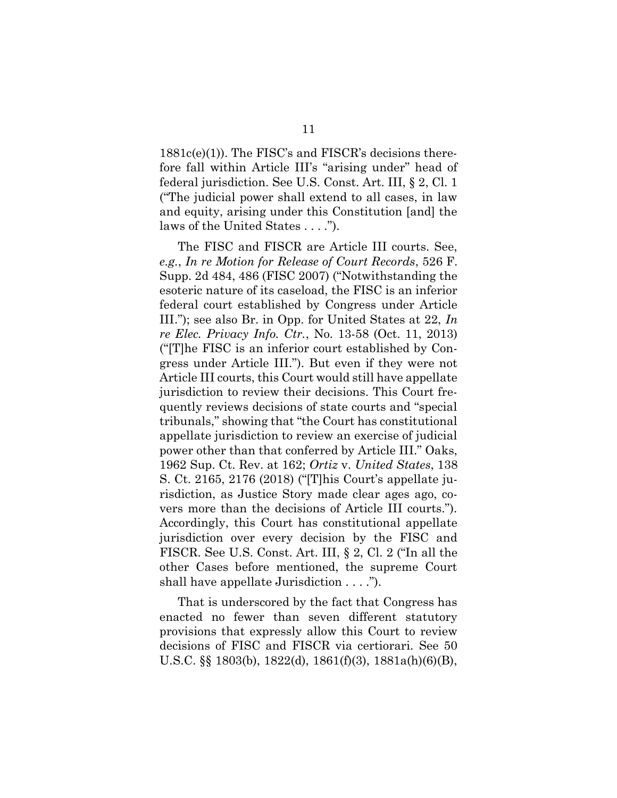1881c(e)(1)). The FISC's and FISCR's decisions therefore fall within Article III's "arising under" head of federal jurisdiction. See U.S. Const. Art. III, § 2, Cl. 1 ("The judicial power shall extend to all cases, in law and equity, arising under this Constitution [and] the laws of the United States . . . .").

The FISC and FISCR are Article III courts. See, e.g., In re Motion for Release of Court Records, 526 F. Supp. 2d 484, 486 (FISC 2007) ("Notwithstanding the esoteric nature of its caseload, the FISC is an inferior federal court established by Congress under Article III."); see also Br. in Opp. for United States at 22, In re Elec. Privacy Info. Ctr., No. 13-58 (Oct. 11, 2013) ("[T]he FISC is an inferior court established by Congress under Article III."). But even if they were not Article III courts, this Court would still have appellate jurisdiction to review their decisions. This Court frequently reviews decisions of state courts and "special tribunals," showing that "the Court has constitutional appellate jurisdiction to review an exercise of judicial power other than that conferred by Article III." Oaks, 1962 Sup. Ct. Rev. at 162; Ortiz v. United States, 138 S. Ct. 2165, 2176 (2018) ("[T]his Court's appellate jurisdiction, as Justice Story made clear ages ago, covers more than the decisions of Article III courts."). Accordingly, this Court has constitutional appellate jurisdiction over every decision by the FISC and FISCR. See U.S. Const. Art. III, § 2, Cl. 2 ("In all the other Cases before mentioned, the supreme Court shall have appellate Jurisdiction . . . .").

That is underscored by the fact that Congress has enacted no fewer than seven different statutory provisions that expressly allow this Court to review decisions of FISC and FISCR via certiorari. See 50 U.S.C. §§ 1803(b), 1822(d), 1861(f)(3), 1881a(h)(6)(B),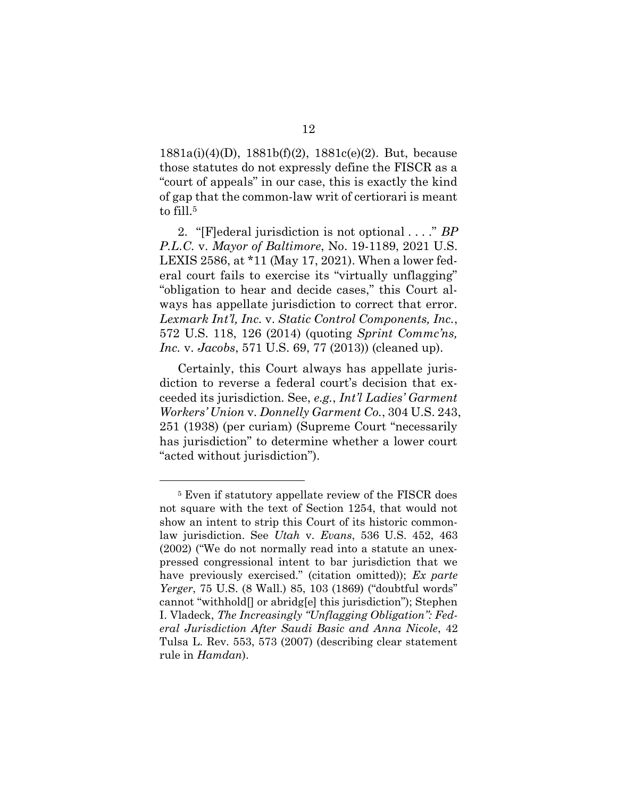1881a(i)(4)(D), 1881b(f)(2), 1881c(e)(2). But, because those statutes do not expressly define the FISCR as a "court of appeals" in our case, this is exactly the kind of gap that the common-law writ of certiorari is meant to fill.<sup>5</sup>

2. "[F]ederal jurisdiction is not optional . . . ." BP P.L.C. v. Mayor of Baltimore, No. 19-1189, 2021 U.S. LEXIS 2586, at \*11 (May 17, 2021). When a lower federal court fails to exercise its "virtually unflagging" "obligation to hear and decide cases," this Court always has appellate jurisdiction to correct that error. Lexmark Int'l, Inc. v. Static Control Components, Inc., 572 U.S. 118, 126 (2014) (quoting Sprint Commc'ns, Inc. v. Jacobs, 571 U.S. 69, 77 (2013)) (cleaned up).

Certainly, this Court always has appellate jurisdiction to reverse a federal court's decision that exceeded its jurisdiction. See, e.g., Int'l Ladies' Garment Workers' Union v. Donnelly Garment Co., 304 U.S. 243, 251 (1938) (per curiam) (Supreme Court "necessarily has jurisdiction" to determine whether a lower court "acted without jurisdiction").

<sup>5</sup> Even if statutory appellate review of the FISCR does not square with the text of Section 1254, that would not show an intent to strip this Court of its historic commonlaw jurisdiction. See Utah v. Evans, 536 U.S. 452, 463 (2002) ("We do not normally read into a statute an unexpressed congressional intent to bar jurisdiction that we have previously exercised." (citation omitted)); Ex parte Yerger, 75 U.S. (8 Wall.) 85, 103 (1869) ("doubtful words" cannot "withhold[] or abridg[e] this jurisdiction"); Stephen I. Vladeck, The Increasingly "Unflagging Obligation": Federal Jurisdiction After Saudi Basic and Anna Nicole, 42 Tulsa L. Rev. 553, 573 (2007) (describing clear statement rule in Hamdan).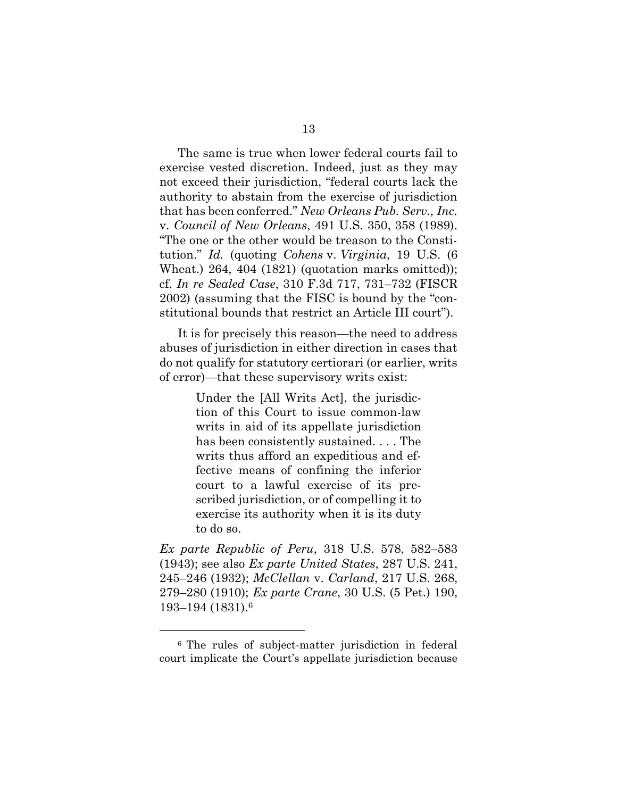The same is true when lower federal courts fail to exercise vested discretion. Indeed, just as they may not exceed their jurisdiction, "federal courts lack the authority to abstain from the exercise of jurisdiction that has been conferred." New Orleans Pub. Serv., Inc. v. Council of New Orleans, 491 U.S. 350, 358 (1989). "The one or the other would be treason to the Constitution." Id. (quoting Cohens v. Virginia, 19 U.S. (6 Wheat.) 264, 404 (1821) (quotation marks omitted)); cf. In re Sealed Case, 310 F.3d 717, 731–732 (FISCR 2002) (assuming that the FISC is bound by the "constitutional bounds that restrict an Article III court").

It is for precisely this reason—the need to address abuses of jurisdiction in either direction in cases that do not qualify for statutory certiorari (or earlier, writs of error)—that these supervisory writs exist:

> Under the [All Writs Act], the jurisdiction of this Court to issue common-law writs in aid of its appellate jurisdiction has been consistently sustained. . . . The writs thus afford an expeditious and effective means of confining the inferior court to a lawful exercise of its prescribed jurisdiction, or of compelling it to exercise its authority when it is its duty to do so.

Ex parte Republic of Peru, 318 U.S. 578, 582–583 (1943); see also Ex parte United States, 287 U.S. 241, 245–246 (1932); McClellan v. Carland, 217 U.S. 268, 279–280 (1910); Ex parte Crane, 30 U.S. (5 Pet.) 190, 193–194 (1831).<sup>6</sup>

<sup>6</sup> The rules of subject-matter jurisdiction in federal court implicate the Court's appellate jurisdiction because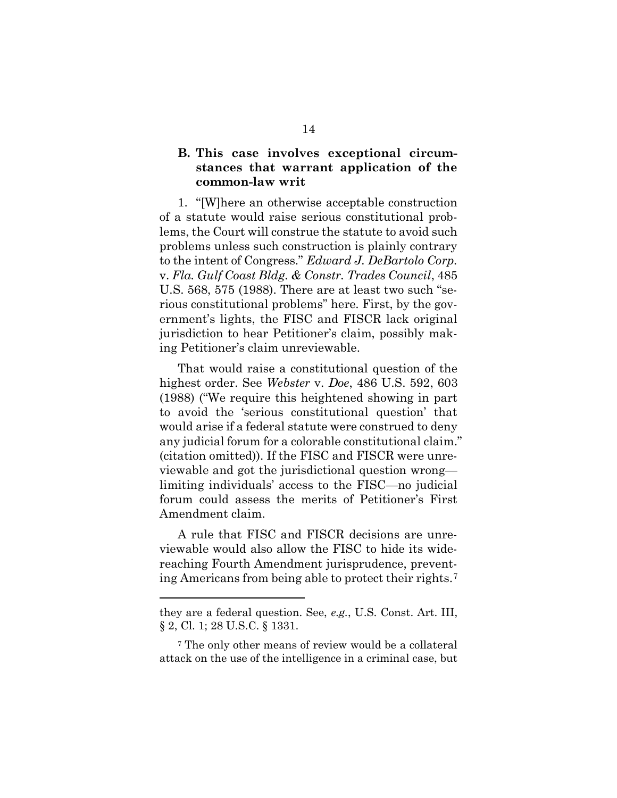### B. This case involves exceptional circumstances that warrant application of the common-law writ

1. "[W]here an otherwise acceptable construction of a statute would raise serious constitutional problems, the Court will construe the statute to avoid such problems unless such construction is plainly contrary to the intent of Congress." Edward J. DeBartolo Corp. v. Fla. Gulf Coast Bldg. & Constr. Trades Council, 485 U.S. 568, 575 (1988). There are at least two such "serious constitutional problems" here. First, by the government's lights, the FISC and FISCR lack original jurisdiction to hear Petitioner's claim, possibly making Petitioner's claim unreviewable.

That would raise a constitutional question of the highest order. See Webster v. Doe, 486 U.S. 592, 603 (1988) ("We require this heightened showing in part to avoid the 'serious constitutional question' that would arise if a federal statute were construed to deny any judicial forum for a colorable constitutional claim." (citation omitted)). If the FISC and FISCR were unreviewable and got the jurisdictional question wrong limiting individuals' access to the FISC—no judicial forum could assess the merits of Petitioner's First Amendment claim.

A rule that FISC and FISCR decisions are unreviewable would also allow the FISC to hide its widereaching Fourth Amendment jurisprudence, preventing Americans from being able to protect their rights.<sup>7</sup>

they are a federal question. See, e.g., U.S. Const. Art. III, § 2, Cl. 1; 28 U.S.C. § 1331.

<sup>7</sup> The only other means of review would be a collateral attack on the use of the intelligence in a criminal case, but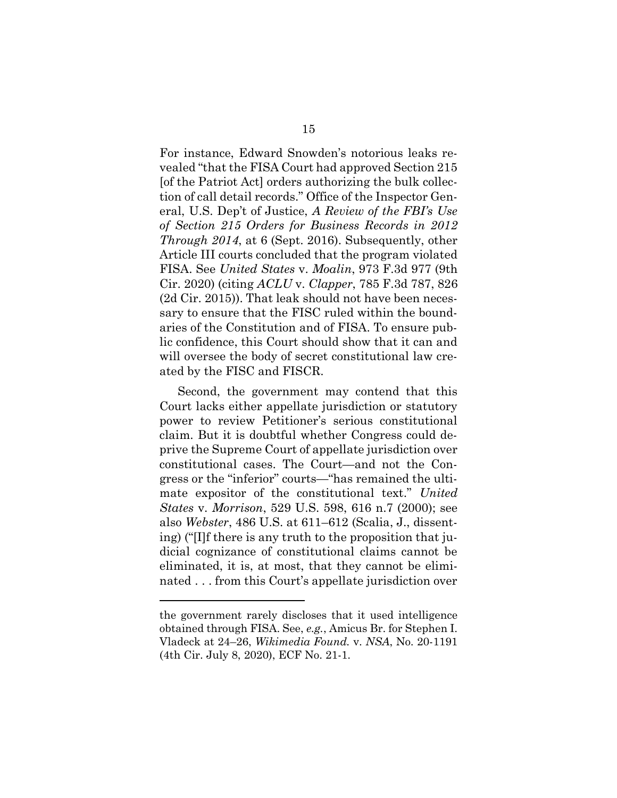For instance, Edward Snowden's notorious leaks revealed "that the FISA Court had approved Section 215 [of the Patriot Act] orders authorizing the bulk collection of call detail records." Office of the Inspector General, U.S. Dep't of Justice, A Review of the FBI's Use of Section 215 Orders for Business Records in 2012 Through 2014, at 6 (Sept. 2016). Subsequently, other Article III courts concluded that the program violated FISA. See United States v. Moalin, 973 F.3d 977 (9th Cir. 2020) (citing ACLU v. Clapper, 785 F.3d 787, 826 (2d Cir. 2015)). That leak should not have been necessary to ensure that the FISC ruled within the boundaries of the Constitution and of FISA. To ensure public confidence, this Court should show that it can and will oversee the body of secret constitutional law created by the FISC and FISCR.

Second, the government may contend that this Court lacks either appellate jurisdiction or statutory power to review Petitioner's serious constitutional claim. But it is doubtful whether Congress could deprive the Supreme Court of appellate jurisdiction over constitutional cases. The Court—and not the Congress or the "inferior" courts—"has remained the ultimate expositor of the constitutional text." United States v. Morrison, 529 U.S. 598, 616 n.7 (2000); see also Webster, 486 U.S. at 611–612 (Scalia, J., dissenting) ("[I]f there is any truth to the proposition that judicial cognizance of constitutional claims cannot be eliminated, it is, at most, that they cannot be eliminated . . . from this Court's appellate jurisdiction over

the government rarely discloses that it used intelligence obtained through FISA. See, e.g., Amicus Br. for Stephen I. Vladeck at 24–26, Wikimedia Found. v. NSA, No. 20-1191 (4th Cir. July 8, 2020), ECF No. 21-1.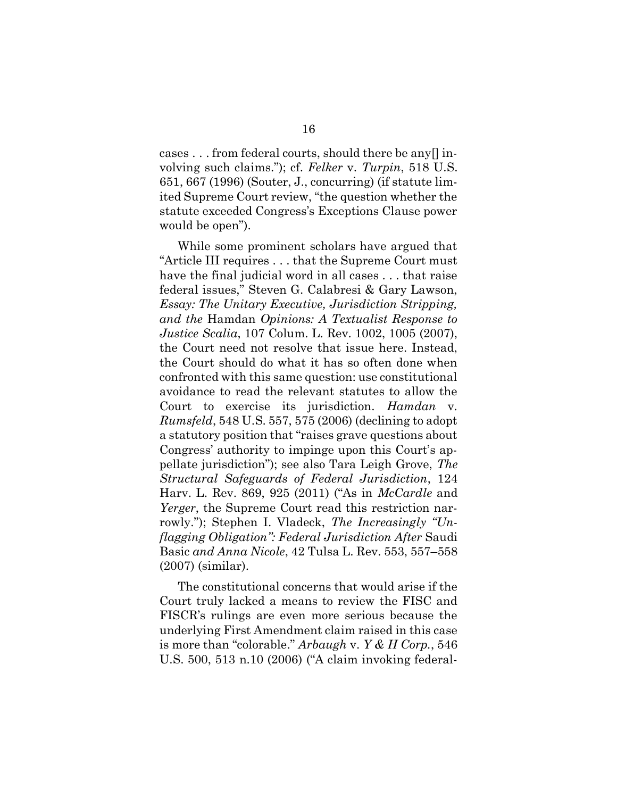cases . . . from federal courts, should there be any[] involving such claims."); cf. Felker v. Turpin, 518 U.S. 651, 667 (1996) (Souter, J., concurring) (if statute limited Supreme Court review, "the question whether the statute exceeded Congress's Exceptions Clause power would be open").

While some prominent scholars have argued that "Article III requires . . . that the Supreme Court must have the final judicial word in all cases . . . that raise federal issues," Steven G. Calabresi & Gary Lawson, Essay: The Unitary Executive, Jurisdiction Stripping, and the Hamdan Opinions: A Textualist Response to Justice Scalia, 107 Colum. L. Rev. 1002, 1005 (2007), the Court need not resolve that issue here. Instead, the Court should do what it has so often done when confronted with this same question: use constitutional avoidance to read the relevant statutes to allow the Court to exercise its jurisdiction. Hamdan v. Rumsfeld, 548 U.S. 557, 575 (2006) (declining to adopt a statutory position that "raises grave questions about Congress' authority to impinge upon this Court's appellate jurisdiction"); see also Tara Leigh Grove, The Structural Safeguards of Federal Jurisdiction, 124 Harv. L. Rev. 869, 925 (2011) ("As in *McCardle* and Yerger, the Supreme Court read this restriction narrowly."); Stephen I. Vladeck, *The Increasingly "Un*flagging Obligation": Federal Jurisdiction After Saudi Basic and Anna Nicole, 42 Tulsa L. Rev. 553, 557–558 (2007) (similar).

The constitutional concerns that would arise if the Court truly lacked a means to review the FISC and FISCR's rulings are even more serious because the underlying First Amendment claim raised in this case is more than "colorable." Arbaugh v. Y & H Corp., 546 U.S. 500, 513 n.10 (2006) ("A claim invoking federal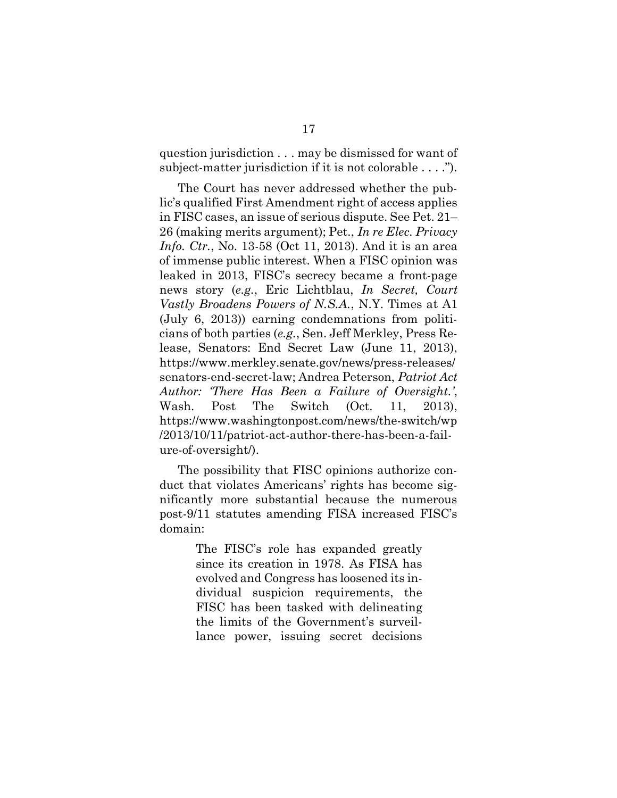question jurisdiction . . . may be dismissed for want of subject-matter jurisdiction if it is not colorable . . . .").

The Court has never addressed whether the public's qualified First Amendment right of access applies in FISC cases, an issue of serious dispute. See Pet. 21– 26 (making merits argument); Pet., In re Elec. Privacy *Info. Ctr.*, No. 13-58 (Oct 11, 2013). And it is an area of immense public interest. When a FISC opinion was leaked in 2013, FISC's secrecy became a front-page news story (e.g., Eric Lichtblau, In Secret, Court Vastly Broadens Powers of N.S.A., N.Y. Times at A1 (July 6, 2013)) earning condemnations from politicians of both parties (e.g., Sen. Jeff Merkley, Press Release, Senators: End Secret Law (June 11, 2013), https://www.merkley.senate.gov/news/press-releases/ senators-end-secret-law; Andrea Peterson, Patriot Act Author: 'There Has Been a Failure of Oversight.', Wash. Post The Switch (Oct. 11, 2013), https://www.washingtonpost.com/news/the-switch/wp /2013/10/11/patriot-act-author-there-has-been-a-failure-of-oversight/).

The possibility that FISC opinions authorize conduct that violates Americans' rights has become significantly more substantial because the numerous post-9/11 statutes amending FISA increased FISC's domain:

> The FISC's role has expanded greatly since its creation in 1978. As FISA has evolved and Congress has loosened its individual suspicion requirements, the FISC has been tasked with delineating the limits of the Government's surveillance power, issuing secret decisions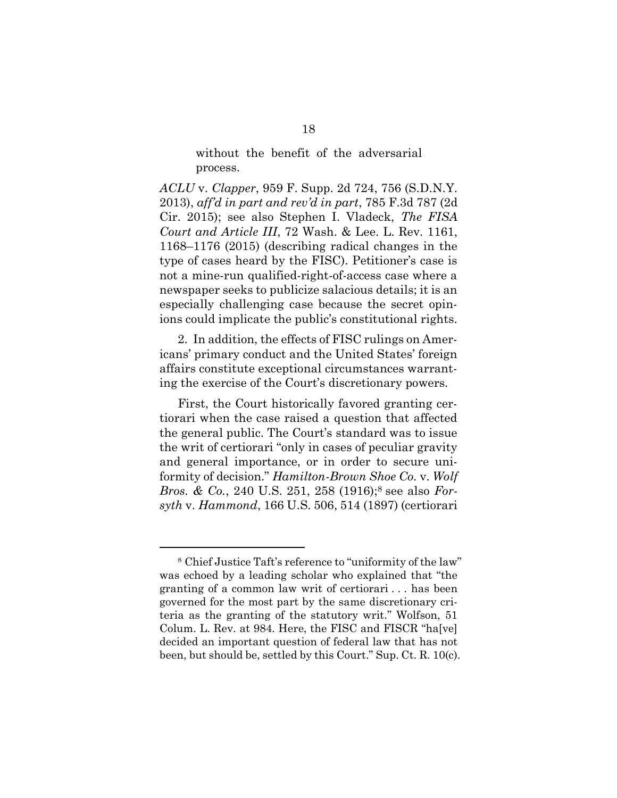without the benefit of the adversarial process.

ACLU v. Clapper, 959 F. Supp. 2d 724, 756 (S.D.N.Y. 2013), aff'd in part and rev'd in part, 785 F.3d 787 (2d Cir. 2015); see also Stephen I. Vladeck, The FISA Court and Article III, 72 Wash. & Lee. L. Rev. 1161, 1168–1176 (2015) (describing radical changes in the type of cases heard by the FISC). Petitioner's case is not a mine-run qualified-right-of-access case where a newspaper seeks to publicize salacious details; it is an especially challenging case because the secret opinions could implicate the public's constitutional rights.

2. In addition, the effects of FISC rulings on Americans' primary conduct and the United States' foreign affairs constitute exceptional circumstances warranting the exercise of the Court's discretionary powers.

First, the Court historically favored granting certiorari when the case raised a question that affected the general public. The Court's standard was to issue the writ of certiorari "only in cases of peculiar gravity and general importance, or in order to secure uniformity of decision." Hamilton-Brown Shoe Co. v. Wolf Bros. & Co., 240 U.S. 251, 258 (1916);8 see also Forsyth v. Hammond, 166 U.S. 506, 514 (1897) (certiorari

<sup>8</sup> Chief Justice Taft's reference to "uniformity of the law" was echoed by a leading scholar who explained that "the granting of a common law writ of certiorari . . . has been governed for the most part by the same discretionary criteria as the granting of the statutory writ." Wolfson, 51 Colum. L. Rev. at 984. Here, the FISC and FISCR "ha[ve] decided an important question of federal law that has not been, but should be, settled by this Court." Sup. Ct. R. 10(c).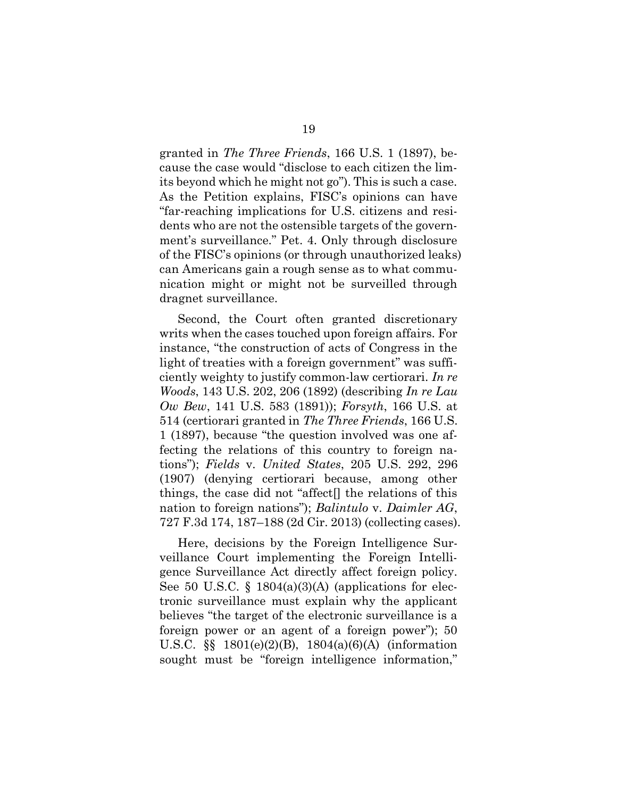granted in The Three Friends, 166 U.S. 1 (1897), because the case would "disclose to each citizen the limits beyond which he might not go"). This is such a case. As the Petition explains, FISC's opinions can have "far-reaching implications for U.S. citizens and residents who are not the ostensible targets of the government's surveillance." Pet. 4. Only through disclosure of the FISC's opinions (or through unauthorized leaks) can Americans gain a rough sense as to what communication might or might not be surveilled through dragnet surveillance.

Second, the Court often granted discretionary writs when the cases touched upon foreign affairs. For instance, "the construction of acts of Congress in the light of treaties with a foreign government" was sufficiently weighty to justify common-law certiorari. In re Woods, 143 U.S. 202, 206 (1892) (describing In re Lau Ow Bew, 141 U.S. 583 (1891)); Forsyth, 166 U.S. at 514 (certiorari granted in The Three Friends, 166 U.S. 1 (1897), because "the question involved was one affecting the relations of this country to foreign nations"); Fields v. United States, 205 U.S. 292, 296 (1907) (denying certiorari because, among other things, the case did not "affect[] the relations of this nation to foreign nations"); *Balintulo v. Daimler AG*, 727 F.3d 174, 187–188 (2d Cir. 2013) (collecting cases).

Here, decisions by the Foreign Intelligence Surveillance Court implementing the Foreign Intelligence Surveillance Act directly affect foreign policy. See 50 U.S.C.  $\S$  1804(a)(3)(A) (applications for electronic surveillance must explain why the applicant believes "the target of the electronic surveillance is a foreign power or an agent of a foreign power"); 50 U.S.C. §§ 1801(e)(2)(B), 1804(a)(6)(A) (information sought must be "foreign intelligence information,"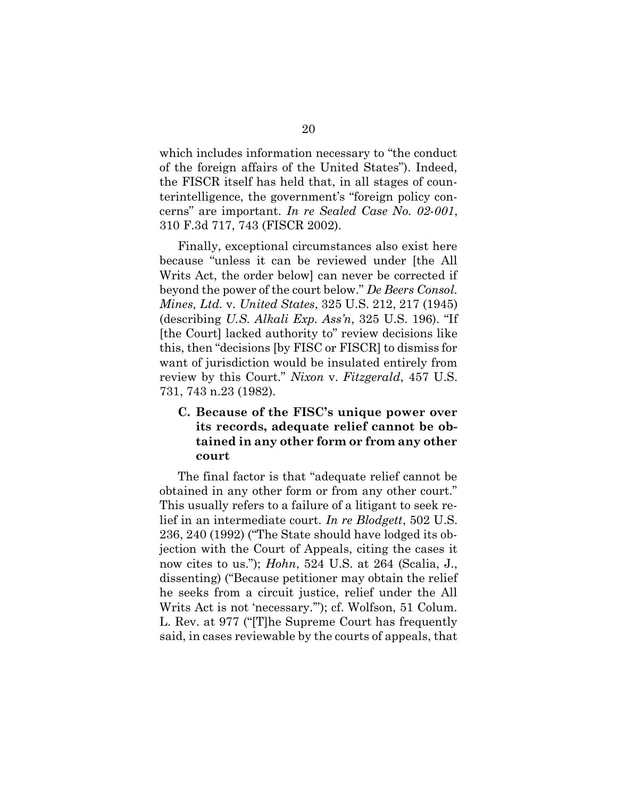which includes information necessary to "the conduct of the foreign affairs of the United States"). Indeed, the FISCR itself has held that, in all stages of counterintelligence, the government's "foreign policy concerns" are important. In re Sealed Case No. 02-001, 310 F.3d 717, 743 (FISCR 2002).

Finally, exceptional circumstances also exist here because "unless it can be reviewed under [the All Writs Act, the order below] can never be corrected if beyond the power of the court below." De Beers Consol. Mines, Ltd. v. United States, 325 U.S. 212, 217 (1945) (describing U.S. Alkali Exp. Ass'n, 325 U.S. 196). "If [the Court] lacked authority to" review decisions like this, then "decisions [by FISC or FISCR] to dismiss for want of jurisdiction would be insulated entirely from review by this Court." Nixon v. Fitzgerald, 457 U.S. 731, 743 n.23 (1982).

## C. Because of the FISC's unique power over its records, adequate relief cannot be obtained in any other form or from any other court

The final factor is that "adequate relief cannot be obtained in any other form or from any other court." This usually refers to a failure of a litigant to seek relief in an intermediate court. In re Blodgett, 502 U.S. 236, 240 (1992) ("The State should have lodged its objection with the Court of Appeals, citing the cases it now cites to us."); *Hohn*, 524 U.S. at 264 (Scalia, J., dissenting) ("Because petitioner may obtain the relief he seeks from a circuit justice, relief under the All Writs Act is not 'necessary.'"); cf. Wolfson, 51 Colum. L. Rev. at 977 ("[T]he Supreme Court has frequently said, in cases reviewable by the courts of appeals, that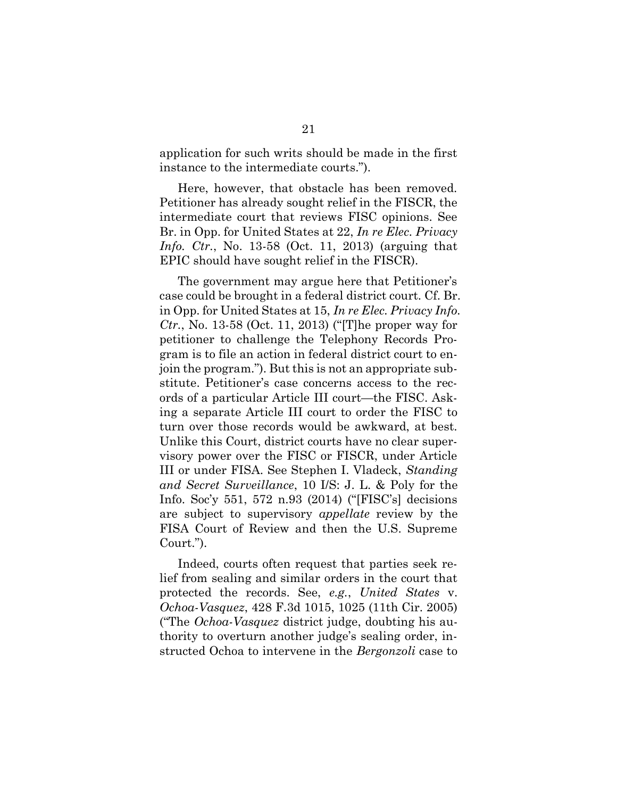application for such writs should be made in the first instance to the intermediate courts.").

Here, however, that obstacle has been removed. Petitioner has already sought relief in the FISCR, the intermediate court that reviews FISC opinions. See Br. in Opp. for United States at 22, In re Elec. Privacy Info. Ctr., No. 13-58 (Oct. 11, 2013) (arguing that EPIC should have sought relief in the FISCR).

The government may argue here that Petitioner's case could be brought in a federal district court. Cf. Br. in Opp. for United States at 15, In re Elec. Privacy Info. *Ctr.*, No. 13-58 (Oct. 11, 2013) ("[T] he proper way for petitioner to challenge the Telephony Records Program is to file an action in federal district court to enjoin the program."). But this is not an appropriate substitute. Petitioner's case concerns access to the records of a particular Article III court—the FISC. Asking a separate Article III court to order the FISC to turn over those records would be awkward, at best. Unlike this Court, district courts have no clear supervisory power over the FISC or FISCR, under Article III or under FISA. See Stephen I. Vladeck, Standing and Secret Surveillance, 10 I/S: J. L. & Poly for the Info. Soc'y 551, 572 n.93 (2014) ("[FISC's] decisions are subject to supervisory appellate review by the FISA Court of Review and then the U.S. Supreme Court.").

Indeed, courts often request that parties seek relief from sealing and similar orders in the court that protected the records. See, e.g., United States v. Ochoa-Vasquez, 428 F.3d 1015, 1025 (11th Cir. 2005) ("The Ochoa-Vasquez district judge, doubting his authority to overturn another judge's sealing order, instructed Ochoa to intervene in the *Bergonzoli* case to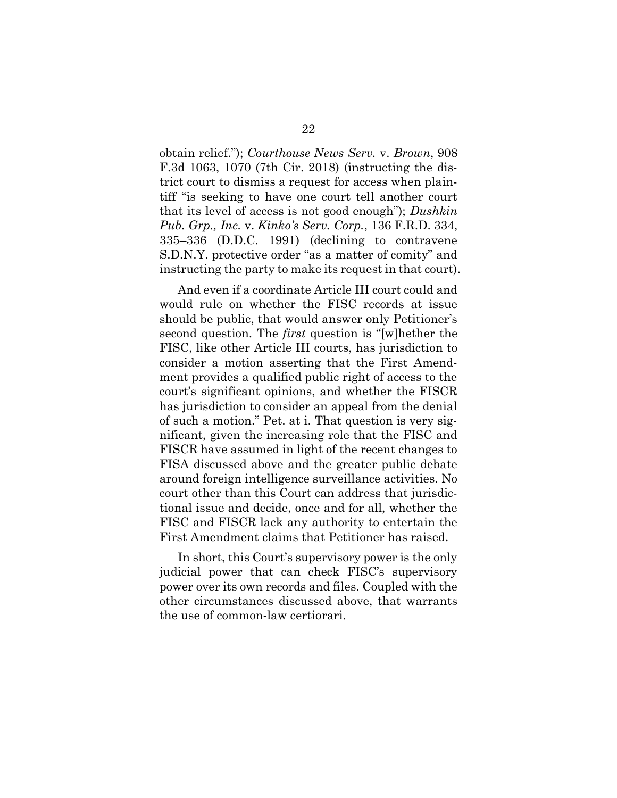obtain relief."); Courthouse News Serv. v. Brown, 908 F.3d 1063, 1070 (7th Cir. 2018) (instructing the district court to dismiss a request for access when plaintiff "is seeking to have one court tell another court that its level of access is not good enough"); Dushkin Pub. Grp., Inc. v. Kinko's Serv. Corp., 136 F.R.D. 334, 335–336 (D.D.C. 1991) (declining to contravene S.D.N.Y. protective order "as a matter of comity" and instructing the party to make its request in that court).

And even if a coordinate Article III court could and would rule on whether the FISC records at issue should be public, that would answer only Petitioner's second question. The first question is "[w]hether the FISC, like other Article III courts, has jurisdiction to consider a motion asserting that the First Amendment provides a qualified public right of access to the court's significant opinions, and whether the FISCR has jurisdiction to consider an appeal from the denial of such a motion." Pet. at i. That question is very significant, given the increasing role that the FISC and FISCR have assumed in light of the recent changes to FISA discussed above and the greater public debate around foreign intelligence surveillance activities. No court other than this Court can address that jurisdictional issue and decide, once and for all, whether the FISC and FISCR lack any authority to entertain the First Amendment claims that Petitioner has raised.

In short, this Court's supervisory power is the only judicial power that can check FISC's supervisory power over its own records and files. Coupled with the other circumstances discussed above, that warrants the use of common-law certiorari.